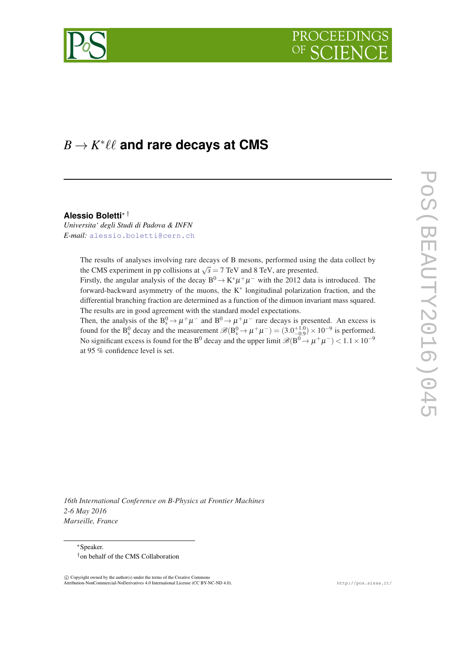



# $B \to K^* \ell \ell$  and rare decays at  $\mathsf{CMS}$

**Alessio Boletti**∗ †

*Universita' degli Studi di Padova & INFN E-mail:* [alessio.boletti@cern.ch](mailto:alessio.boletti@cern.ch)

> The results of analyses involving rare decays of B mesons, performed using the data collect by the CMS experiment in pp collisions at  $\sqrt{s} = 7$  TeV and 8 TeV, are presented.

> Firstly, the angular analysis of the decay  $B^0 \to K^* \mu^+ \mu^-$  with the 2012 data is introduced. The forward-backward asymmetry of the muons, the K<sup>∗</sup> longitudinal polarization fraction, and the differential branching fraction are determined as a function of the dimuon invariant mass squared. The results are in good agreement with the standard model expectations.

> Then, the analysis of the  $B_s^0 \to \mu^+\mu^-$  and  $B^0 \to \mu^+\mu^-$  rare decays is presented. An excess is found for the B<sub>s</sub><sup>0</sup> decay and the measurement  $\mathscr{B}(B_s^0 \to \mu^+\mu^-) = (3.0^{+1.0}_{-0.9}) \times 10^{-9}$  is performed. No significant excess is found for the B<sup>0</sup> decay and the upper limit  $\mathscr{B}(B^0 \to \mu^+\mu^-) < 1.1 \times 10^{-9}$ at 95 % confidence level is set.

*16th International Conference on B-Physics at Frontier Machines 2-6 May 2016 Marseille, France*

<sup>∗</sup>Speaker. †on behalf of the CMS Collaboration

 $\overline{c}$  Copyright owned by the author(s) under the terms of the Creative Commons Attribution-NonCommercial-NoDerivatives 4.0 International License (CC BY-NC-ND 4.0). http://pos.sissa.it/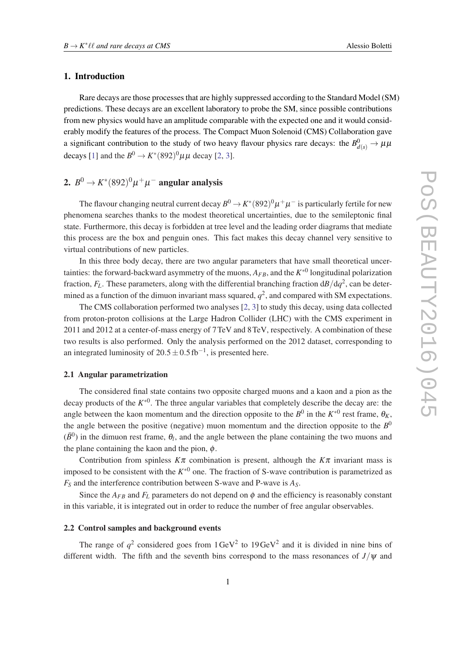## 1. Introduction

Rare decays are those processes that are highly suppressed according to the Standard Model (SM) predictions. These decays are an excellent laboratory to probe the SM, since possible contributions from new physics would have an amplitude comparable with the expected one and it would considerably modify the features of the process. The Compact Muon Solenoid (CMS) Collaboration gave a significant contribution to the study of two heavy flavour physics rare decays: the  $B_{d(s)}^0 \to \mu\mu$ decays [\[1\]](#page-5-0) and the  $B^0 \to K^*(892)^0 \mu\mu$  $B^0 \to K^*(892)^0 \mu\mu$  $B^0 \to K^*(892)^0 \mu\mu$  decay [2, [3](#page-5-0)].

# 2.  $B^0\to K^*(892)^0\mu^+\mu^-$  angular analysis

The flavour changing neutral current decay  $B^0\to K^*(892)^0\mu^+\mu^-$  is particularly fertile for new phenomena searches thanks to the modest theoretical uncertainties, due to the semileptonic final state. Furthermore, this decay is forbidden at tree level and the leading order diagrams that mediate this process are the box and penguin ones. This fact makes this decay channel very sensitive to virtual contributions of new particles.

In this three body decay, there are two angular parameters that have small theoretical uncertainties: the forward-backward asymmetry of the muons,  $A_{FB}$ , and the  $K^{*0}$  longitudinal polarization fraction, *FL*. These parameters, along with the differential branching fraction d*B*/d*q* 2 , can be determined as a function of the dimuon invariant mass squared,  $q^2$ , and compared with SM expectations.

The CMS collaboration performed two analyses [\[2,](#page-5-0) [3](#page-5-0)] to study this decay, using data collected from proton-proton collisions at the Large Hadron Collider (LHC) with the CMS experiment in 2011 and 2012 at a center-of-mass energy of 7TeV and 8TeV, respectively. A combination of these two results is also performed. Only the analysis performed on the 2012 dataset, corresponding to an integrated luminosity of  $20.5 \pm 0.5$  fb<sup>-1</sup>, is presented here.

#### 2.1 Angular parametrization

The considered final state contains two opposite charged muons and a kaon and a pion as the decay products of the *K* ∗0 . The three angular variables that completely describe the decay are: the angle between the kaon momentum and the direction opposite to the  $B^0$  in the  $K^{*0}$  rest frame,  $\theta_K$ , the angle between the positive (negative) muon momentum and the direction opposite to the  $B^0$  $(\bar{B}^0)$  in the dimuon rest frame,  $\theta_l$ , and the angle between the plane containing the two muons and the plane containing the kaon and the pion,  $\phi$ .

Contribution from spinless  $K\pi$  combination is present, although the  $K\pi$  invariant mass is imposed to be consistent with the  $K^{*0}$  one. The fraction of S-wave contribution is parametrized as *F<sup>S</sup>* and the interference contribution between S-wave and P-wave is *AS*.

Since the  $A_{FB}$  and  $F_L$  parameters do not depend on  $\phi$  and the efficiency is reasonably constant in this variable, it is integrated out in order to reduce the number of free angular observables.

# 2.2 Control samples and background events

The range of  $q^2$  considered goes from  $1 \text{ GeV}^2$  to  $19 \text{ GeV}^2$  and it is divided in nine bins of different width. The fifth and the seventh bins correspond to the mass resonances of  $J/\psi$  and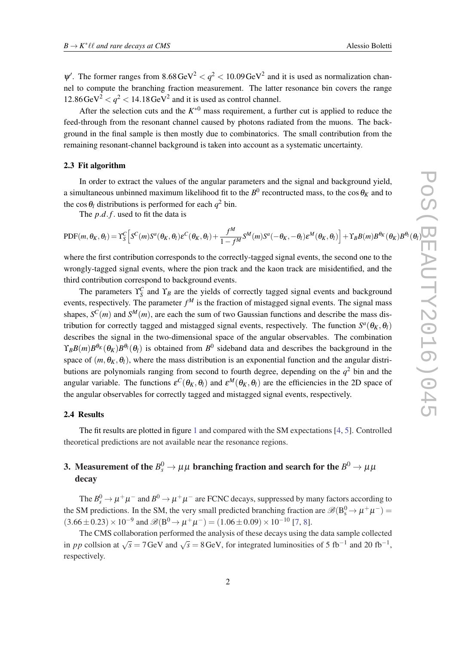$\Psi'$ . The former ranges from 8.68 GeV<sup>2</sup>  $< q<sup>2</sup> < 10.09$  GeV<sup>2</sup> and it is used as normalization channel to compute the branching fraction measurement. The latter resonance bin covers the range  $12.86 \text{ GeV}^2 < q^2 < 14.18 \text{ GeV}^2$  and it is used as control channel.

After the selection cuts and the  $K^{*0}$  mass requirement, a further cut is applied to reduce the feed-through from the resonant channel caused by photons radiated from the muons. The background in the final sample is then mostly due to combinatorics. The small contribution from the remaining resonant-channel background is taken into account as a systematic uncertainty.

#### 2.3 Fit algorithm

In order to extract the values of the angular parameters and the signal and background yield, a simultaneous unbinned maximum likelihood fit to the  $B^0$  recontructed mass, to the cos  $\theta_K$  and to the cos  $\theta_l$  distributions is performed for each  $q^2$  bin.

The *p*.*d*. *f*. used to fit the data is

$$
PDF(m, \theta_K, \theta_l) = \Upsilon_S^C \Big[ S^C(m) S^a(\theta_K, \theta_l) \varepsilon^C(\theta_K, \theta_l) + \frac{f^M}{1 - f^M} S^M(m) S^a(-\theta_K, -\theta_l) \varepsilon^M(\theta_K, \theta_l) \Big] + \Upsilon_B B(m) B^{\theta_K}(\theta_K) B^{\theta_l}(\theta_K)
$$

where the first contribution corresponds to the correctly-tagged signal events, the second one to the wrongly-tagged signal events, where the pion track and the kaon track are misidentified, and the third contribution correspond to background events.

The parameters  $\Upsilon_S^C$  and  $\Upsilon_B$  are the yields of correctly tagged signal events and background events, respectively. The parameter *f <sup>M</sup>* is the fraction of mistagged signal events. The signal mass shapes,  $S^{C}(m)$  and  $S^{M}(m)$ , are each the sum of two Gaussian functions and describe the mass distribution for correctly tagged and mistagged signal events, respectively. The function  $S^a(\theta_K, \theta_l)$ describes the signal in the two-dimensional space of the angular observables. The combination  $\Upsilon_B B(m) B^{\theta_K}(\theta_K) B^{\theta_l}(\theta_l)$  is obtained from  $B^0$  sideband data and describes the background in the space of  $(m, \theta_K, \theta_l)$ , where the mass distribution is an exponential function and the angular distributions are polynomials ranging from second to fourth degree, depending on the  $q<sup>2</sup>$  bin and the angular variable. The functions  $\varepsilon^C(\theta_K, \theta_l)$  and  $\varepsilon^M(\theta_K, \theta_l)$  are the efficiencies in the 2D space of the angular observables for correctly tagged and mistagged signal events, respectively.

# 2.4 Results

The fit results are plotted in figure [1](#page-3-0) and compared with the SM expectations [[4](#page-5-0), [5\]](#page-5-0). Controlled theoretical predictions are not available near the resonance regions.

# 3. Measurement of the  $B^0_s \rightarrow \mu \mu$  branching fraction and search for the  $B^0 \rightarrow \mu \mu$ decay

The  $B_s^0 \to \mu^+\mu^-$  and  $B^0 \to \mu^+\mu^-$  are FCNC decays, suppressed by many factors according to the SM predictions. In the SM, the very small predicted branching fraction are  $\mathscr{B}(B_s^0 \to \mu^+ \mu^-)$  $(3.66 \pm 0.23) \times 10^{-9}$  and  $\mathscr{B}(B^0 \to \mu^+ \mu^-) = (1.06 \pm 0.09) \times 10^{-10}$  [\[7,](#page-5-0) [8\]](#page-5-0).

The CMS collaboration performed the analysis of these decays using the data sample collected in *pp* collsion at  $\sqrt{s} = 7$  GeV and  $\sqrt{s} = 8$  GeV, for integrated luminosities of 5 fb<sup>-1</sup> and 20 fb<sup>-1</sup>. respectively.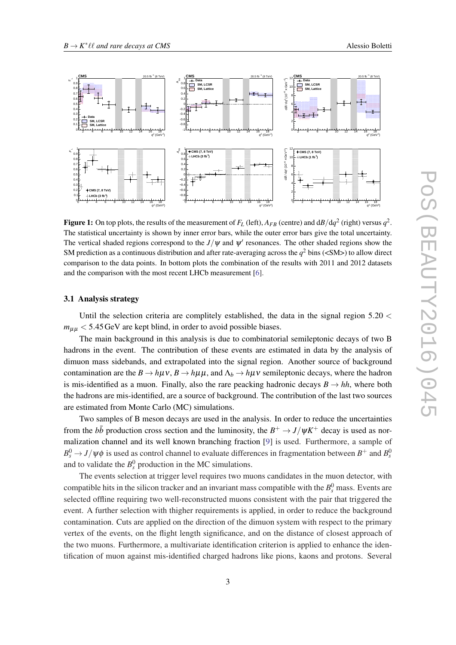<span id="page-3-0"></span>

**Figure 1:** On top plots, the results of the measurement of  $F_L$  (left),  $A_{FB}$  (centre) and d $B/{\rm d}q^2$  (right) versus  $q^2$ . The statistical uncertainty is shown by inner error bars, while the outer error bars give the total uncertainty. The vertical shaded regions correspond to the  $J/\psi$  and  $\psi'$  resonances. The other shaded regions show the SM prediction as a continuous distribution and after rate-averaging across the  $q^2$  bins (<SM>) to allow direct comparison to the data points. In bottom plots the combination of the results with 2011 and 2012 datasets and the comparison with the most recent LHCb measurement [[6\]](#page-5-0).

#### 3.1 Analysis strategy

Until the selection criteria are complitely established, the data in the signal region  $5.20 <$  $m_{\mu\mu}$  < 5.45 GeV are kept blind, in order to avoid possible biases.

The main background in this analysis is due to combinatorial semileptonic decays of two B hadrons in the event. The contribution of these events are estimated in data by the analysis of dimuon mass sidebands, and extrapolated into the signal region. Another source of background contamination are the  $B \to h\mu\nu$ ,  $B \to h\mu\mu$ , and  $\Lambda_b \to h\mu\nu$  semileptonic decays, where the hadron is mis-identified as a muon. Finally, also the rare peacking hadronic decays  $B \to hh$ , where both the hadrons are mis-identified, are a source of background. The contribution of the last two sources are estimated from Monte Carlo (MC) simulations.

Two samples of B meson decays are used in the analysis. In order to reduce the uncertainties from the  $b\bar{b}$  production cross section and the luminosity, the  $B^+ \to J/\psi K^+$  decay is used as normalization channel and its well known branching fraction [\[9\]](#page-5-0) is used. Furthermore, a sample of  $B_s^0 \rightarrow J/\psi \phi$  is used as control channel to evaluate differences in fragmentation between  $B^+$  and  $B_s^0$ and to validate the  $B_s^0$  production in the MC simulations.

The events selection at trigger level requires two muons candidates in the muon detector, with compatible hits in the silicon tracker and an invariant mass compatible with the  $B_s^0$  mass. Events are selected offline requiring two well-reconstructed muons consistent with the pair that triggered the event. A further selection with thigher requirements is applied, in order to reduce the background contamination. Cuts are applied on the direction of the dimuon system with respect to the primary vertex of the events, on the flight length significance, and on the distance of closest approach of the two muons. Furthermore, a multivariate identification criterion is applied to enhance the identification of muon against mis-identified charged hadrons like pions, kaons and protons. Several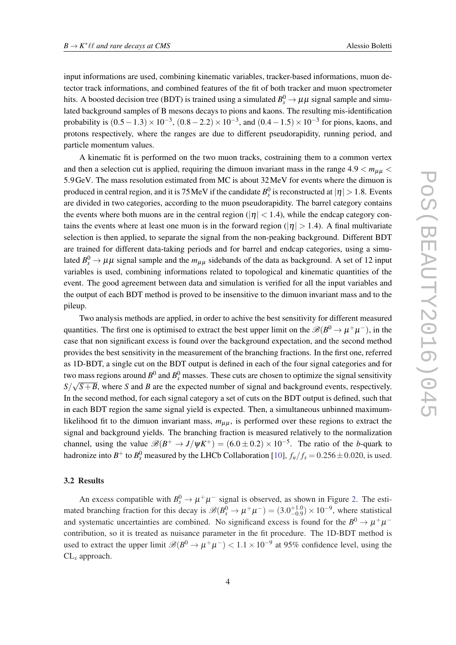input informations are used, combining kinematic variables, tracker-based informations, muon detector track informations, and combined features of the fit of both tracker and muon spectrometer hits. A boosted decision tree (BDT) is trained using a simulated  $B_s^0 \to \mu\mu$  signal sample and simulated background samples of B mesons decays to pions and kaons. The resulting mis-identification probability is  $(0.5 - 1.3) \times 10^{-3}$ ,  $(0.8 - 2.2) \times 10^{-3}$ , and  $(0.4 - 1.5) \times 10^{-3}$  for pions, kaons, and protons respectively, where the ranges are due to different pseudorapidity, running period, and particle momentum values.

A kinematic fit is performed on the two muon tracks, costraining them to a common vertex and then a selection cut is applied, requiring the dimuon invariant mass in the range  $4.9 < m_{\mu\mu}$ 5.9GeV. The mass resolution estimated from MC is about 32MeV for events where the dimuon is produced in central region, and it is 75 MeV if the candidate  $B_s^0$  is reconstructed at  $|\eta| > 1.8$ . Events are divided in two categories, according to the muon pseudorapidity. The barrel category contains the events where both muons are in the central region ( $|\eta|$  < 1.4), while the endcap category contains the events where at least one muon is in the forward region ( $|\eta| > 1.4$ ). A final multivariate selection is then applied, to separate the signal from the non-peaking background. Different BDT are trained for different data-taking periods and for barrel and endcap categories, using a simulated  $B_s^0 \to \mu\mu$  signal sample and the  $m_{\mu\mu}$  sidebands of the data as background. A set of 12 input variables is used, combining informations related to topological and kinematic quantities of the event. The good agreement between data and simulation is verified for all the input variables and the output of each BDT method is proved to be insensitive to the dimuon invariant mass and to the pileup.

Two analysis methods are applied, in order to achive the best sensitivity for different measured quantities. The first one is optimised to extract the best upper limit on the  $\mathscr{B}(B^0 \to \mu^+ \mu^-)$ , in the case that non significant excess is found over the background expectation, and the second method provides the best sensitivity in the measurement of the branching fractions. In the first one, referred as 1D-BDT, a single cut on the BDT output is defined in each of the four signal categories and for two mass regions around  $B^0$  and  $B^0_s$  masses. These cuts are chosen to optimize the signal sensitivity  $S/\sqrt{S+B}$ , where *S* and *B* are the expected number of signal and background events, respectively. In the second method, for each signal category a set of cuts on the BDT output is defined, such that in each BDT region the same signal yield is expected. Then, a simultaneous unbinned maximumlikelihood fit to the dimuon invariant mass,  $m_{\mu\mu}$ , is performed over these regions to extract the signal and background yields. The branching fraction is measured relatively to the normalization channel, using the value  $\mathscr{B}(B^+ \to J/\psi K^+) = (6.0 \pm 0.2) \times 10^{-5}$ . The ratio of the *b*-quark to hadronize into  $B^+$  to  $B_s^0$  measured by the LHCb Collaboration [[10\]](#page-5-0),  $f_u/f_s = 0.256 \pm 0.020$ , is used.

#### 3.2 Results

An excess compatible with  $B_s^0 \to \mu^+ \mu^-$  signal is observed, as shown in Figure [2.](#page-5-0) The estimated branching fraction for this decay is  $\mathscr{B}(B_s^0 \to \mu^+ \mu^-) = (3.0^{+1.0}_{-0.9}) \times 10^{-9}$ , where statistical and systematic uncertainties are combined. No significand excess is found for the  $B^0 \to \mu^+\mu^$ contribution, so it is treated as nuisance parameter in the fit procedure. The 1D-BDT method is used to extract the upper limit  $\mathscr{B}(B^0 \to \mu^+ \mu^-) < 1.1 \times 10^{-9}$  at 95% confidence level, using the CL*<sup>s</sup>* approach.